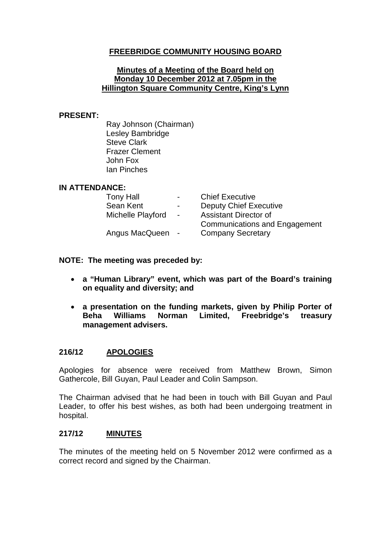## **FREEBRIDGE COMMUNITY HOUSING BOARD**

#### **Minutes of a Meeting of the Board held on Monday 10 December 2012 at 7.05pm in the Hillington Square Community Centre, King's Lynn**

#### **PRESENT:**

Ray Johnson (Chairman) Lesley Bambridge Steve Clark Frazer Clement John Fox Ian Pinches

### **IN ATTENDANCE:**

| <b>Tony Hall</b>  | $\sim$ 100 $\mu$     | <b>Chief Executive</b>               |
|-------------------|----------------------|--------------------------------------|
| Sean Kent         | $\sim 100$ m $^{-1}$ | <b>Deputy Chief Executive</b>        |
| Michelle Playford | $\sim$               | <b>Assistant Director of</b>         |
|                   |                      | <b>Communications and Engagement</b> |
| Angus MacQueen    | $\sim$ $-$           | <b>Company Secretary</b>             |
|                   |                      |                                      |

### **NOTE: The meeting was preceded by:**

- **a "Human Library" event, which was part of the Board's training on equality and diversity; and**
- **a presentation on the funding markets, given by Philip Porter of Beha Williams Norman Limited, Freebridge's treasury management advisers.**

### **216/12 APOLOGIES**

Apologies for absence were received from Matthew Brown, Simon Gathercole, Bill Guyan, Paul Leader and Colin Sampson.

The Chairman advised that he had been in touch with Bill Guyan and Paul Leader, to offer his best wishes, as both had been undergoing treatment in hospital.

### **217/12 MINUTES**

The minutes of the meeting held on 5 November 2012 were confirmed as a correct record and signed by the Chairman.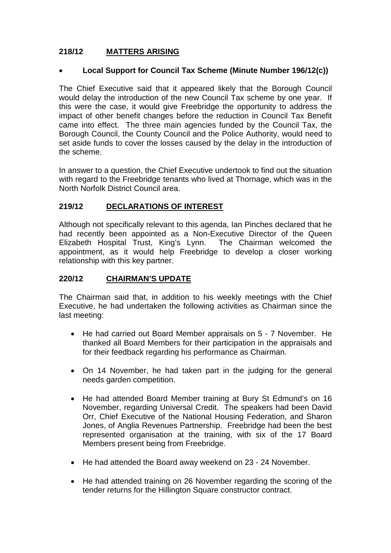## **218/12 MATTERS ARISING**

### • **Local Support for Council Tax Scheme (Minute Number 196/12(c))**

The Chief Executive said that it appeared likely that the Borough Council would delay the introduction of the new Council Tax scheme by one year. If this were the case, it would give Freebridge the opportunity to address the impact of other benefit changes before the reduction in Council Tax Benefit came into effect. The three main agencies funded by the Council Tax, the Borough Council, the County Council and the Police Authority, would need to set aside funds to cover the losses caused by the delay in the introduction of the scheme.

In answer to a question, the Chief Executive undertook to find out the situation with regard to the Freebridge tenants who lived at Thornage, which was in the North Norfolk District Council area.

### **219/12 DECLARATIONS OF INTEREST**

Although not specifically relevant to this agenda, Ian Pinches declared that he had recently been appointed as a Non-Executive Director of the Queen Elizabeth Hospital Trust, King's Lynn. The Chairman welcomed the appointment, as it would help Freebridge to develop a closer working relationship with this key partner.

### **220/12 CHAIRMAN'S UPDATE**

The Chairman said that, in addition to his weekly meetings with the Chief Executive, he had undertaken the following activities as Chairman since the last meeting:

- He had carried out Board Member appraisals on 5 7 November. He thanked all Board Members for their participation in the appraisals and for their feedback regarding his performance as Chairman.
- On 14 November, he had taken part in the judging for the general needs garden competition.
- He had attended Board Member training at Bury St Edmund's on 16 November, regarding Universal Credit. The speakers had been David Orr, Chief Executive of the National Housing Federation, and Sharon Jones, of Anglia Revenues Partnership. Freebridge had been the best represented organisation at the training, with six of the 17 Board Members present being from Freebridge.
- He had attended the Board away weekend on 23 24 November.
- He had attended training on 26 November regarding the scoring of the tender returns for the Hillington Square constructor contract.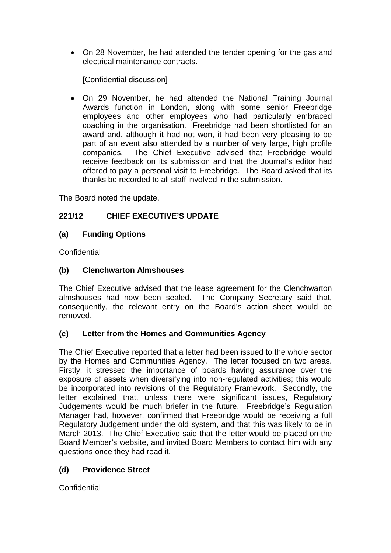• On 28 November, he had attended the tender opening for the gas and electrical maintenance contracts.

[Confidential discussion]

• On 29 November, he had attended the National Training Journal Awards function in London, along with some senior Freebridge employees and other employees who had particularly embraced coaching in the organisation. Freebridge had been shortlisted for an award and, although it had not won, it had been very pleasing to be part of an event also attended by a number of very large, high profile companies. The Chief Executive advised that Freebridge would receive feedback on its submission and that the Journal's editor had offered to pay a personal visit to Freebridge. The Board asked that its thanks be recorded to all staff involved in the submission.

The Board noted the update.

## **221/12 CHIEF EXECUTIVE'S UPDATE**

### **(a) Funding Options**

**Confidential** 

### **(b) Clenchwarton Almshouses**

The Chief Executive advised that the lease agreement for the Clenchwarton almshouses had now been sealed. The Company Secretary said that, consequently, the relevant entry on the Board's action sheet would be removed.

## **(c) Letter from the Homes and Communities Agency**

The Chief Executive reported that a letter had been issued to the whole sector by the Homes and Communities Agency. The letter focused on two areas. Firstly, it stressed the importance of boards having assurance over the exposure of assets when diversifying into non-regulated activities; this would be incorporated into revisions of the Regulatory Framework. Secondly, the letter explained that, unless there were significant issues, Regulatory Judgements would be much briefer in the future. Freebridge's Regulation Manager had, however, confirmed that Freebridge would be receiving a full Regulatory Judgement under the old system, and that this was likely to be in March 2013. The Chief Executive said that the letter would be placed on the Board Member's website, and invited Board Members to contact him with any questions once they had read it.

## **(d) Providence Street**

**Confidential**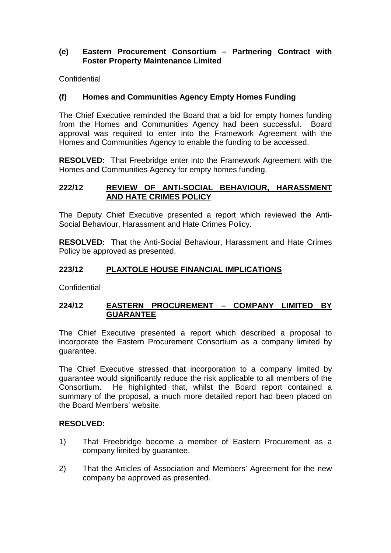### **(e) Eastern Procurement Consortium – Partnering Contract with Foster Property Maintenance Limited**

**Confidential** 

## **(f) Homes and Communities Agency Empty Homes Funding**

The Chief Executive reminded the Board that a bid for empty homes funding from the Homes and Communities Agency had been successful. Board approval was required to enter into the Framework Agreement with the Homes and Communities Agency to enable the funding to be accessed.

**RESOLVED:** That Freebridge enter into the Framework Agreement with the Homes and Communities Agency for empty homes funding.

#### **222/12 REVIEW OF ANTI-SOCIAL BEHAVIOUR, HARASSMENT AND HATE CRIMES POLICY**

The Deputy Chief Executive presented a report which reviewed the Anti-Social Behaviour, Harassment and Hate Crimes Policy.

**RESOLVED:** That the Anti-Social Behaviour, Harassment and Hate Crimes Policy be approved as presented.

### **223/12 PLAXTOLE HOUSE FINANCIAL IMPLICATIONS**

**Confidential** 

### **224/12 EASTERN PROCUREMENT – COMPANY LIMITED BY GUARANTEE**

The Chief Executive presented a report which described a proposal to incorporate the Eastern Procurement Consortium as a company limited by guarantee.

The Chief Executive stressed that incorporation to a company limited by guarantee would significantly reduce the risk applicable to all members of the Consortium. He highlighted that, whilst the Board report contained a summary of the proposal, a much more detailed report had been placed on the Board Members' website.

### **RESOLVED:**

- 1) That Freebridge become a member of Eastern Procurement as a company limited by guarantee.
- 2) That the Articles of Association and Members' Agreement for the new company be approved as presented.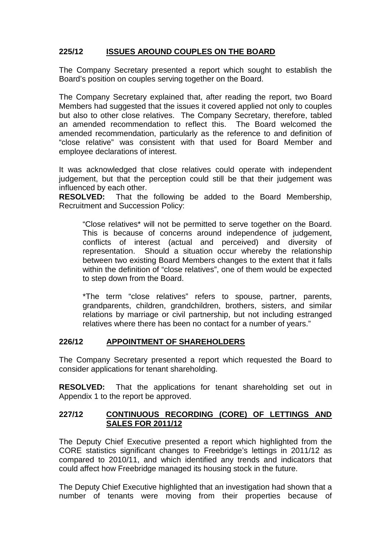## **225/12 ISSUES AROUND COUPLES ON THE BOARD**

The Company Secretary presented a report which sought to establish the Board's position on couples serving together on the Board.

The Company Secretary explained that, after reading the report, two Board Members had suggested that the issues it covered applied not only to couples but also to other close relatives. The Company Secretary, therefore, tabled an amended recommendation to reflect this. The Board welcomed the amended recommendation, particularly as the reference to and definition of "close relative" was consistent with that used for Board Member and employee declarations of interest.

It was acknowledged that close relatives could operate with independent judgement, but that the perception could still be that their judgement was influenced by each other.

**RESOLVED:** That the following be added to the Board Membership, Recruitment and Succession Policy:

"Close relatives\* will not be permitted to serve together on the Board. This is because of concerns around independence of judgement, conflicts of interest (actual and perceived) and diversity of representation. Should a situation occur whereby the relationship between two existing Board Members changes to the extent that it falls within the definition of "close relatives", one of them would be expected to step down from the Board.

\*The term "close relatives" refers to spouse, partner, parents, grandparents, children, grandchildren, brothers, sisters, and similar relations by marriage or civil partnership, but not including estranged relatives where there has been no contact for a number of years."

## **226/12 APPOINTMENT OF SHAREHOLDERS**

The Company Secretary presented a report which requested the Board to consider applications for tenant shareholding.

**RESOLVED:** That the applications for tenant shareholding set out in Appendix 1 to the report be approved.

### **227/12 CONTINUOUS RECORDING (CORE) OF LETTINGS AND SALES FOR 2011/12**

The Deputy Chief Executive presented a report which highlighted from the CORE statistics significant changes to Freebridge's lettings in 2011/12 as compared to 2010/11, and which identified any trends and indicators that could affect how Freebridge managed its housing stock in the future.

The Deputy Chief Executive highlighted that an investigation had shown that a number of tenants were moving from their properties because of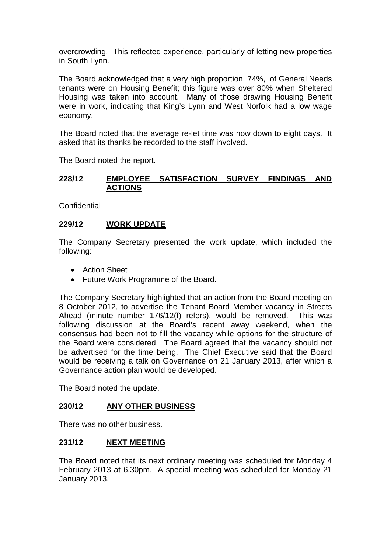overcrowding. This reflected experience, particularly of letting new properties in South Lynn.

The Board acknowledged that a very high proportion, 74%, of General Needs tenants were on Housing Benefit; this figure was over 80% when Sheltered Housing was taken into account. Many of those drawing Housing Benefit were in work, indicating that King's Lynn and West Norfolk had a low wage economy.

The Board noted that the average re-let time was now down to eight days. It asked that its thanks be recorded to the staff involved.

The Board noted the report.

### **228/12 EMPLOYEE SATISFACTION SURVEY FINDINGS AND ACTIONS**

**Confidential** 

### **229/12 WORK UPDATE**

The Company Secretary presented the work update, which included the following:

- Action Sheet
- Future Work Programme of the Board.

The Company Secretary highlighted that an action from the Board meeting on 8 October 2012, to advertise the Tenant Board Member vacancy in Streets Ahead (minute number 176/12(f) refers), would be removed. This was following discussion at the Board's recent away weekend, when the consensus had been not to fill the vacancy while options for the structure of the Board were considered. The Board agreed that the vacancy should not be advertised for the time being. The Chief Executive said that the Board would be receiving a talk on Governance on 21 January 2013, after which a Governance action plan would be developed.

The Board noted the update.

### **230/12 ANY OTHER BUSINESS**

There was no other business.

#### **231/12 NEXT MEETING**

The Board noted that its next ordinary meeting was scheduled for Monday 4 February 2013 at 6.30pm. A special meeting was scheduled for Monday 21 January 2013.